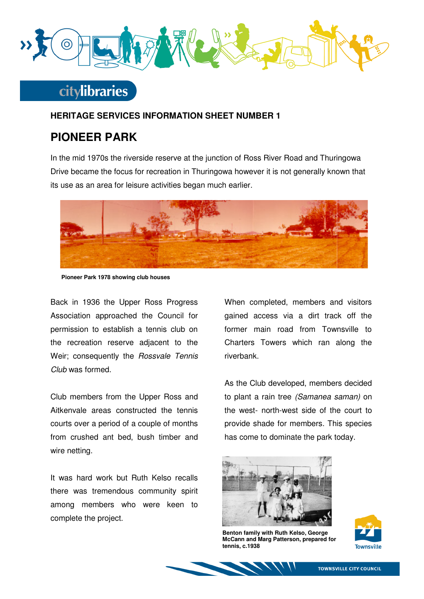

## **citylibraries**

### **HERITAGE SERVICES INFORMATION SHEET NUMBER 1**

## **PIONEER PARK**

In the mid 1970s the riverside reserve at the junction of Ross River Road and Thuringowa Drive became the focus for recreation in Thuringowa however it is not generally known that its use as an area for leisure activities began much earlier.



**Pioneer Park 1978 showing club houses** 

Back in 1936 the Upper Ross Progress Association approached the Council for permission to establish a tennis club on the recreation reserve adjacent to the Weir; consequently the Rossvale Tennis Club was formed.

Club members from the Upper Ross and Aitkenvale areas constructed the tennis courts over a period of a couple of months from crushed ant bed, bush timber and wire netting.

It was hard work but Ruth Kelso recalls there was tremendous community spirit among members who were keen to complete the project.

When completed, members and visitors gained access via a dirt track off the former main road from Townsville to Charters Towers which ran along the riverbank.

As the Club developed, members decided to plant a rain tree (Samanea saman) on the west- north-west side of the court to provide shade for members. This species has come to dominate the park today.



**Benton family with Ruth Kelso, George McCann and Marg Patterson, prepared for tennis, c.1938**